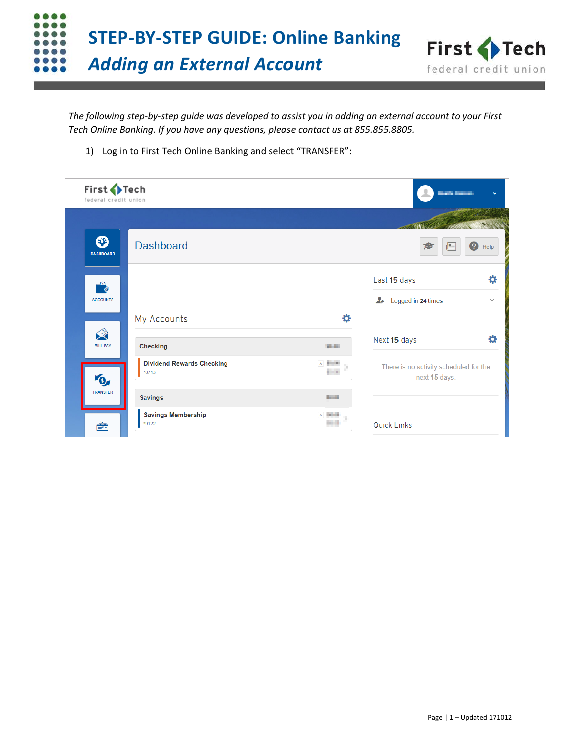



*The following step-by-step guide was developed to assist you in adding an external account to your First Tech Online Banking. If you have any questions, please contact us at 855.855.8805.*

1) Log in to First Tech Online Banking and select "TRANSFER":

| First Fech<br>federal credit union |                                           |                                                                            | <b>Barba Barba</b>                                      | ŵ            |
|------------------------------------|-------------------------------------------|----------------------------------------------------------------------------|---------------------------------------------------------|--------------|
|                                    |                                           |                                                                            |                                                         |              |
| ೞ<br><b>DASHBOARD</b>              | <b>Dashboard</b>                          |                                                                            | R<br>昌                                                  | Ø<br>Help    |
| €                                  |                                           |                                                                            | Last 15 days                                            | 杂            |
| <b>ACCOUNTS</b>                    |                                           |                                                                            | $\blacktriangleright$<br>Logged in 24 times             | $\checkmark$ |
|                                    | My Accounts                               | ₩                                                                          |                                                         |              |
| 父<br><b>BILL PAY</b>               | Checking                                  | <b>William</b>                                                             | Next 15 days                                            | ₩            |
| O                                  | <b>Dividend Rewards Checking</b><br>*0743 | A <b>Built</b>                                                             | There is no activity scheduled for the<br>next 15 days. |              |
| TRANSFER                           | <b>Savings</b>                            | <b>Service</b>                                                             |                                                         |              |
| 會                                  | <b>Savings Membership</b><br>*9122        | $\begin{array}{c} \mathsf{A} \quad \text{in} \quad \mathsf{B} \end{array}$ | <b>Quick Links</b>                                      |              |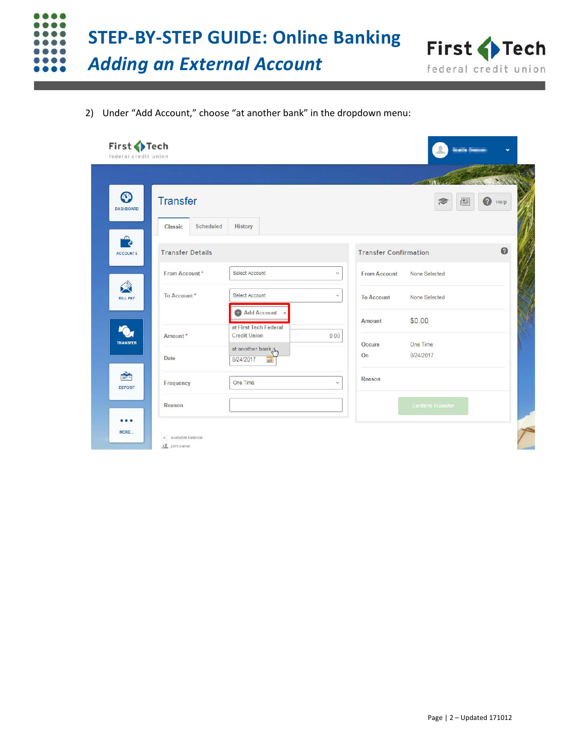



2) Under "Add Account," choose "at another bank" in the dropdown menu:

|                              |                         |                                      |      |                              |                         | 1810            |
|------------------------------|-------------------------|--------------------------------------|------|------------------------------|-------------------------|-----------------|
| $\odot$<br><b>DASHBOARD</b>  | <b>Transfer</b>         |                                      |      |                              | 昌                       | $\bigcirc$ Help |
|                              | Scheduled<br>Classic    | History                              |      |                              |                         |                 |
| <b>Pa</b><br><b>ACCOUNTS</b> | <b>Transfer Details</b> |                                      |      | <b>Transfer Confirmation</b> |                         | $\bullet$       |
|                              | From Account*           | Select Account                       | v.   | From Account                 | None Selected           |                 |
| 父<br><b>BILL PAY</b>         | To Account*             | Select Account                       | Ý.   | <b>To Account</b>            | None Selected           |                 |
|                              |                         | Add Account<br>at First Tech Federal |      | Amount                       | \$0.00                  |                 |
| <b>TRANSFER</b>              | Amount*                 | <b>Credit Union</b>                  | 0.00 | Occurs                       | One Time                |                 |
|                              | Date                    | at another bank Am<br>8/24/2017<br>岬 |      | On                           | 8/24/2017               |                 |
| ₹<br><b>DEPOSIT</b>          | Frequency               | One Time                             | v.   | Reason                       |                         |                 |
|                              | Reason                  |                                      |      |                              | <b>Confirm Transfer</b> |                 |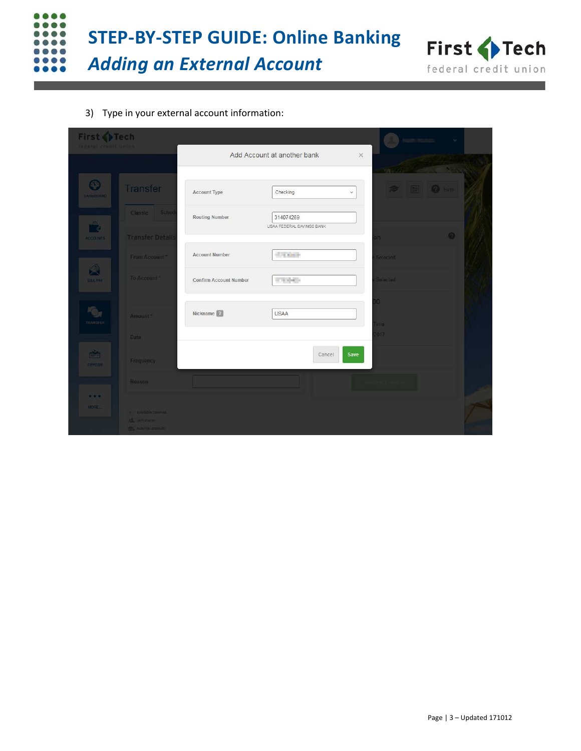



3) Type in your external account information:

| First PTech<br>federal credit union. |                                                                      |                               |                             |          |                                        |           |  |
|--------------------------------------|----------------------------------------------------------------------|-------------------------------|-----------------------------|----------|----------------------------------------|-----------|--|
|                                      |                                                                      |                               | Add Account at another bank | $\times$ |                                        |           |  |
|                                      |                                                                      |                               |                             |          |                                        |           |  |
| $\odot$<br>DA SHEOARD                | Transfer                                                             | <b>Account Type</b>           | Checking                    | $\omega$ | $\approx$ $\blacksquare$ $\Omega$ Help |           |  |
|                                      | Sched<br>Classic                                                     | <b>Routing Number</b>         | 314074269                   |          |                                        |           |  |
| $\rightarrow$<br><b>ACCOUNTS</b>     | <b>Transfer Details</b>                                              |                               | USAA FEDERAL SAVINGS BANK   |          | nc                                     | $\bullet$ |  |
|                                      | From Account*                                                        | <b>Account Number</b>         | $-7.007$                    |          | Selected                               |           |  |
| Â<br><b>BILL PAY</b>                 | To Account                                                           | <b>Confirm Account Number</b> | 1073 April 14               |          | Selected:                              |           |  |
|                                      |                                                                      |                               |                             |          | 0                                      |           |  |
| $\bullet$<br><b>TRANSFER</b>         | Amount. <sup>*</sup>                                                 | Nickname <sup>[2]</sup>       | <b>USAA</b>                 |          |                                        |           |  |
|                                      | Date                                                                 |                               |                             |          | <b>Ime</b><br>1017                     |           |  |
| ė,<br>DEPOSIT                        | Frequency                                                            |                               | Cancel                      | Save     |                                        |           |  |
|                                      | Reason                                                               |                               |                             |          |                                        |           |  |
| 9.9.9.<br><b>MORE</b>                | A millistre balance<br>All som owners<br><b>The actions actively</b> |                               |                             |          |                                        |           |  |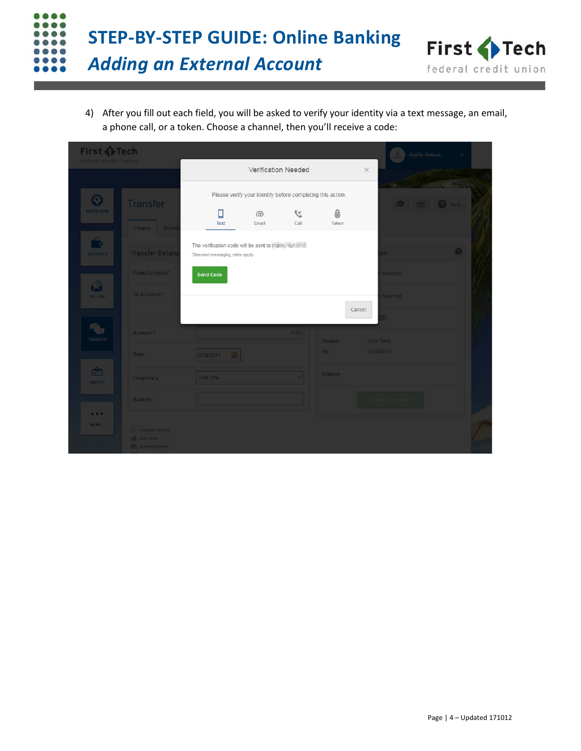



4) After you fill out each field, you will be asked to verify your identity via a text message, an email, a phone call, or a token. Choose a channel, then you'll receive a code:

| First Tech<br>tederal credit union |                                               |                                                                                                                                                                                                                                |                                                            |            |            |                 |                                     |  |
|------------------------------------|-----------------------------------------------|--------------------------------------------------------------------------------------------------------------------------------------------------------------------------------------------------------------------------------|------------------------------------------------------------|------------|------------|-----------------|-------------------------------------|--|
|                                    |                                               |                                                                                                                                                                                                                                | Verification Needed                                        |            |            | $\times$        |                                     |  |
| $\odot$                            |                                               |                                                                                                                                                                                                                                | Please verify your identity before completing this action. |            |            | $-1.5$          |                                     |  |
| <b>DASHBOARD</b>                   | Transfer                                      | □<br>Text                                                                                                                                                                                                                      | $\omega$<br>Email                                          | L.<br>Call | 8<br>Token |                 | $\approx$ $\blacksquare$ 0 $\omega$ |  |
| $\mathbf{r}$                       | Classic Sched                                 | The verification code will be sent to will be a sent to will be a sent to will be a sent to will be a sent to will be a sent to will be a sent to will be a sent to will be a sent to will be a sent of the sent of the sent o |                                                            |            |            |                 |                                     |  |
| ACCOUNTS.                          | <b>Transfer Details</b>                       | Standard messaging rates apply.                                                                                                                                                                                                |                                                            |            |            | no.             | $\Omega$                            |  |
| $\hat{\mathbf{z}}$                 | From Account                                  | <b>Send Code</b>                                                                                                                                                                                                               |                                                            |            |            | Selected        |                                     |  |
| <b>BILL PAY</b>                    | To Account *                                  |                                                                                                                                                                                                                                |                                                            |            |            | Selected        |                                     |  |
|                                    |                                               |                                                                                                                                                                                                                                |                                                            |            |            | Cancel<br>O.    |                                     |  |
| TRANSFER                           | Amount?                                       |                                                                                                                                                                                                                                |                                                            | 0.00       | Occurs     | <b>One Time</b> |                                     |  |
|                                    | Date:                                         | 8/24/2017                                                                                                                                                                                                                      |                                                            |            | On         | 8/24/2017       |                                     |  |
| 會<br>DEPOSIT                       | Frequency                                     | One Time                                                                                                                                                                                                                       |                                                            |            | Reason     |                 |                                     |  |
|                                    | Reason                                        |                                                                                                                                                                                                                                |                                                            |            |            |                 |                                     |  |
| 0.0.01<br>MORE                     | <b>A unifords belance</b>                     |                                                                                                                                                                                                                                |                                                            |            |            |                 |                                     |  |
|                                    | All container<br><b>The American Accounts</b> |                                                                                                                                                                                                                                |                                                            |            |            |                 |                                     |  |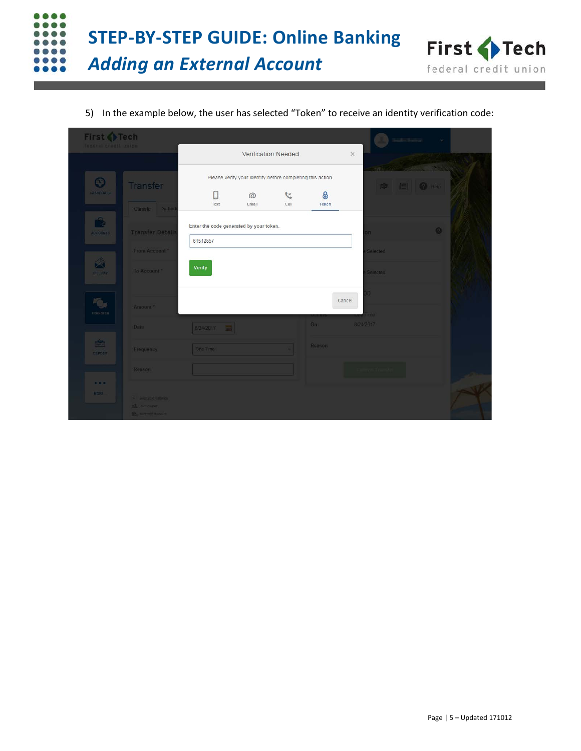

5) In the example below, the user has selected "Token" to receive an identity verification code:

| First PTech<br>Indetal credit union   |                                                                       |                                         |                                                            |                  |            | <b>CARD COMPANY</b> |                       |  |
|---------------------------------------|-----------------------------------------------------------------------|-----------------------------------------|------------------------------------------------------------|------------------|------------|---------------------|-----------------------|--|
|                                       |                                                                       |                                         | Verification Needed                                        |                  |            | $\times$            |                       |  |
| $\odot$                               | Transfer                                                              |                                         | Please verify your identity before completing this action. |                  |            |                     | <b>&gt; E 0 mm</b>    |  |
| <b>DASHBOARD</b>                      | Classic Sched                                                         | C<br>Text                               | $\omega$<br>Email                                          | <b>C</b><br>Call | 8<br>Token |                     |                       |  |
| r <sub>e</sub><br><b>ACCOUNTS</b>     | <b>Transfer Detail</b>                                                | Enter the code generated by your token. |                                                            |                  |            | n.                  | $\boldsymbol{\omega}$ |  |
|                                       | From Account                                                          | 61512857                                |                                                            |                  |            | Selected:           |                       |  |
| $\hat{\mathbf{z}}$<br><b>SILL PAY</b> | To Account?                                                           | Verify                                  |                                                            |                  |            | Selected            |                       |  |
| TRANSFER                              | Amount <sup>*</sup>                                                   |                                         |                                                            |                  | Cancel     | O.<br>lime          |                       |  |
|                                       | Date                                                                  | 8/24/2017                               |                                                            |                  | On         | 8/24/2017           |                       |  |
| è<br>DEPOSIT                          | Frequency                                                             | One Time                                |                                                            |                  | Reason     |                     |                       |  |
|                                       | Reason                                                                |                                         |                                                            |                  |            |                     |                       |  |
| 0.0.0.1<br>MORE                       | W. Swellable Salarice<br>32 gent owner:<br><b>D's with the amount</b> |                                         |                                                            |                  |            |                     |                       |  |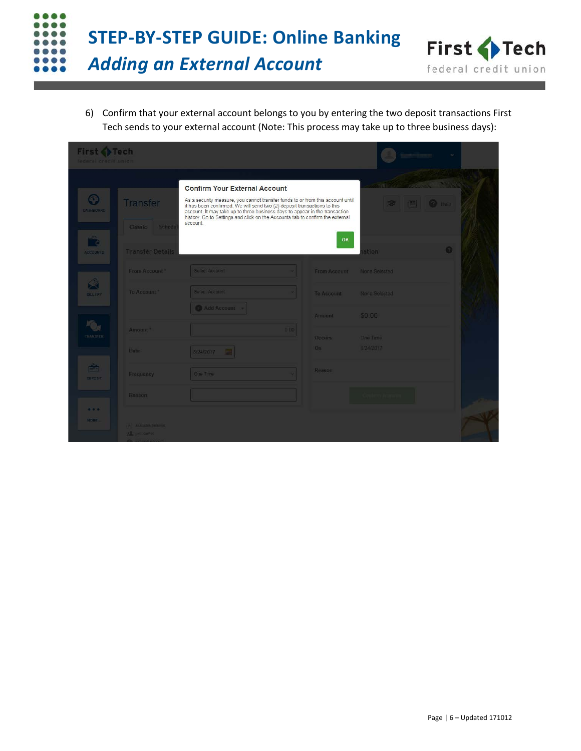



6) Confirm that your external account belongs to you by entering the two deposit transactions First Tech sends to your external account (Note: This process may take up to three business days):

| First Co Tech<br>federal credit union |                                     |                                                                                                                                                                                                                                                                                                                                        |      |                     |                 |                       |  |
|---------------------------------------|-------------------------------------|----------------------------------------------------------------------------------------------------------------------------------------------------------------------------------------------------------------------------------------------------------------------------------------------------------------------------------------|------|---------------------|-----------------|-----------------------|--|
|                                       |                                     |                                                                                                                                                                                                                                                                                                                                        |      |                     |                 |                       |  |
|                                       |                                     | <b>Confirm Your External Account</b>                                                                                                                                                                                                                                                                                                   |      |                     |                 |                       |  |
| $\odot$<br>DASHBOARD                  | Transfer                            | As a security measure, you cannot transfer funds to or from this account until<br>it has been confirmed. We will send two (2) deposit transactions to this<br>account. It may take up to three business days to appear in the transaction<br>history. Go to Settings and click on the Accounts tab to confirm the external<br>account. |      |                     | $\sum$          | <b>IS OF Heip</b>     |  |
|                                       | Classic Schedu                      |                                                                                                                                                                                                                                                                                                                                        |      | OK                  |                 |                       |  |
| ೂ<br><b>ACCOUNTS</b>                  | <b>Transfer Details</b>             |                                                                                                                                                                                                                                                                                                                                        |      |                     | stion           | $\boldsymbol{\omega}$ |  |
|                                       | From Account                        | Select Account                                                                                                                                                                                                                                                                                                                         |      | From Account        | None Selected   |                       |  |
| A<br><b>BILL PAY</b>                  | Te Account *                        | Select Account                                                                                                                                                                                                                                                                                                                         |      | <b>To Account</b>   | None Selected   |                       |  |
|                                       |                                     | Add Account                                                                                                                                                                                                                                                                                                                            |      | Amount              | \$0.00          |                       |  |
| TRANSFER                              | Amount "                            |                                                                                                                                                                                                                                                                                                                                        | 0.00 | Occurs <sup>-</sup> | <b>Gne Time</b> |                       |  |
|                                       | <b>Date:</b>                        | 8/24/2017                                                                                                                                                                                                                                                                                                                              |      | On                  | B/24/2017       |                       |  |
| 高<br><b>DEPOSIT</b>                   | Frequency                           | One Time                                                                                                                                                                                                                                                                                                                               |      | Reason              |                 |                       |  |
|                                       | Reason                              |                                                                                                                                                                                                                                                                                                                                        |      |                     |                 |                       |  |
| $-0.0$<br><b>MOHE</b>                 | A Analistic bulance<br>AL performer |                                                                                                                                                                                                                                                                                                                                        |      |                     |                 |                       |  |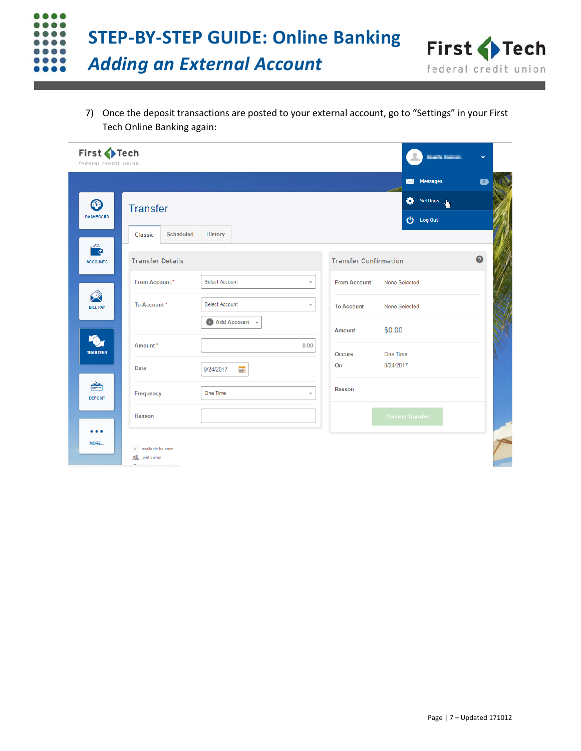



7) Once the deposit transactions are posted to your external account, go to "Settings" in your First Tech Online Banking again:

| First Tech<br>federal credit union |                                                        |                                                                            |                                          | <b>Bandario Barro</b>             | v         |
|------------------------------------|--------------------------------------------------------|----------------------------------------------------------------------------|------------------------------------------|-----------------------------------|-----------|
|                                    |                                                        |                                                                            |                                          | <b>Messages</b><br>$\bowtie$      | $\bullet$ |
| C <sup>T</sup><br><b>DASHBOARD</b> | <b>Transfer</b>                                        |                                                                            |                                          | 舂<br>Settings<br><b>む</b> Log Out |           |
| $\bullet$<br><b>ACCOUNTS</b>       | <b>Scheduled</b><br>Classic<br><b>Transfer Details</b> | History                                                                    | <b>Transfer Confirmation</b>             |                                   | $\bullet$ |
| 父<br><b>BILL PAY</b>               | From Account*<br>To Account*                           | Select Account<br>$\checkmark$<br>Select Account<br>$\mathrel{\mathsf{v}}$ | <b>From Account</b><br><b>To Account</b> | None Selected<br>None Selected    |           |
| <b>TRANSFER</b>                    | Amount*                                                | Add Account v<br>0.00                                                      | <b>Amount</b><br><b>Occurs</b>           | \$0.00<br>One Time                |           |
| 夁<br><b>DEPOSIT</b>                | <b>Date</b><br>Frequency                               | 8/24/2017<br>齳<br>One Time<br>$\checkmark$                                 | On<br>Reason                             | 8/24/2017                         |           |
| .<br>MORE                          | Reason                                                 |                                                                            |                                          | <b>Confirm Transfer</b>           |           |
|                                    | A available balance<br>joint owner                     |                                                                            |                                          |                                   |           |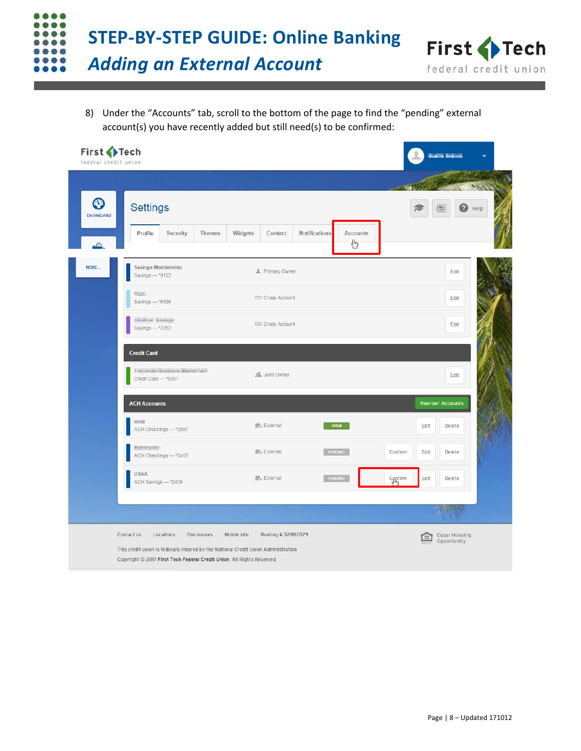



8) Under the "Accounts" tab, scroll to the bottom of the page to find the "pending" external account(s) you have recently added but still need(s) to be confirmed:

| $\mathbf{\Omega}$            | <b>Settings</b>                                          |                        |                                              |                 | Ø<br>門<br>Help          |
|------------------------------|----------------------------------------------------------|------------------------|----------------------------------------------|-----------------|-------------------------|
| <b>DASHBOARD</b><br>$\Omega$ | Profile<br>Security<br><b>Themes</b>                     | Widgets<br>Contact     | <b>Notifications</b><br><b>Accounts</b><br>₾ |                 |                         |
|                              | Savings Membership<br>Savings - *9122                    | <b>1</b> Primary Owner |                                              |                 | Edit                    |
|                              | <b>BEATER</b><br>Savings $-$ *6586                       | CO Cross Account       |                                              |                 | Edit                    |
|                              | <b>Girlsbox</b> Emerger<br>Savings - * 2262              | CO Cross Account       |                                              |                 | Edit                    |
|                              | <b>Credit Card</b>                                       |                        |                                              |                 |                         |
|                              | Constitute Street and Marine Land<br>Credit Card -* 6391 | <b>AL</b> Joint Owner  |                                              |                 | Edit                    |
|                              | <b>ACH Accounts</b>                                      |                        |                                              |                 | <b>Reorder Accounts</b> |
|                              | ACH Checkings - * 0957                                   | file External          | <b>OPEN</b>                                  | Edit            | Delete                  |
|                              | <b>BIS END OF BUILDING</b><br>ACH Checkings - * 0417     | ft, External           | PENDING                                      | Confirm<br>Edit | Delete                  |
|                              | <b>USAA</b><br>ACH Savings - * 0409                      | <b>ff</b> External     | PENDING                                      | Edit<br>Canfirm | Delete                  |
|                              |                                                          |                        |                                              |                 |                         |